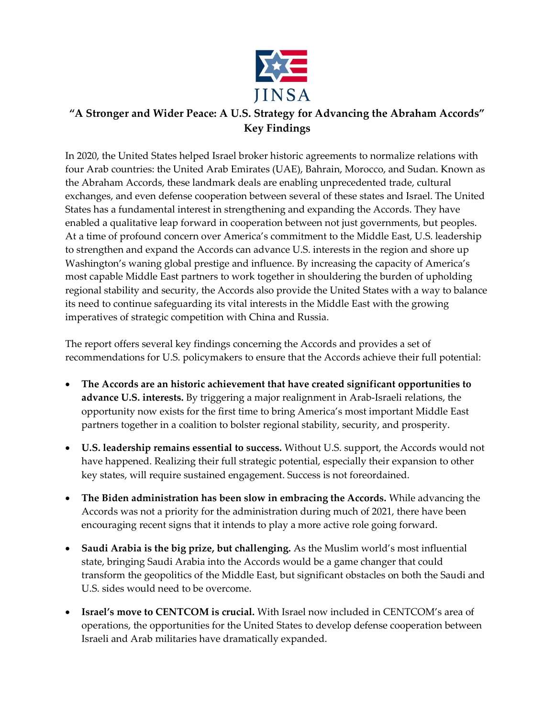

## "A Stronger and Wider Peace: A U.S. Strategy for Advancing the Abraham Accords" Key Findings

In 2020, the United States helped Israel broker historic agreements to normalize relations with four Arab countries: the United Arab Emirates (UAE), Bahrain, Morocco, and Sudan. Known as the Abraham Accords, these landmark deals are enabling unprecedented trade, cultural exchanges, and even defense cooperation between several of these states and Israel. The United States has a fundamental interest in strengthening and expanding the Accords. They have enabled a qualitative leap forward in cooperation between not just governments, but peoples. At a time of profound concern over America's commitment to the Middle East, U.S. leadership to strengthen and expand the Accords can advance U.S. interests in the region and shore up Washington's waning global prestige and influence. By increasing the capacity of America's most capable Middle East partners to work together in shouldering the burden of upholding regional stability and security, the Accords also provide the United States with a way to balance its need to continue safeguarding its vital interests in the Middle East with the growing imperatives of strategic competition with China and Russia.

The report offers several key findings concerning the Accords and provides a set of recommendations for U.S. policymakers to ensure that the Accords achieve their full potential:

- The Accords are an historic achievement that have created significant opportunities to advance U.S. interests. By triggering a major realignment in Arab-Israeli relations, the opportunity now exists for the first time to bring America's most important Middle East partners together in a coalition to bolster regional stability, security, and prosperity.
- U.S. leadership remains essential to success. Without U.S. support, the Accords would not have happened. Realizing their full strategic potential, especially their expansion to other key states, will require sustained engagement. Success is not foreordained.
- The Biden administration has been slow in embracing the Accords. While advancing the Accords was not a priority for the administration during much of 2021, there have been encouraging recent signs that it intends to play a more active role going forward.
- Saudi Arabia is the big prize, but challenging. As the Muslim world's most influential state, bringing Saudi Arabia into the Accords would be a game changer that could transform the geopolitics of the Middle East, but significant obstacles on both the Saudi and U.S. sides would need to be overcome.
- Israel's move to CENTCOM is crucial. With Israel now included in CENTCOM's area of operations, the opportunities for the United States to develop defense cooperation between Israeli and Arab militaries have dramatically expanded.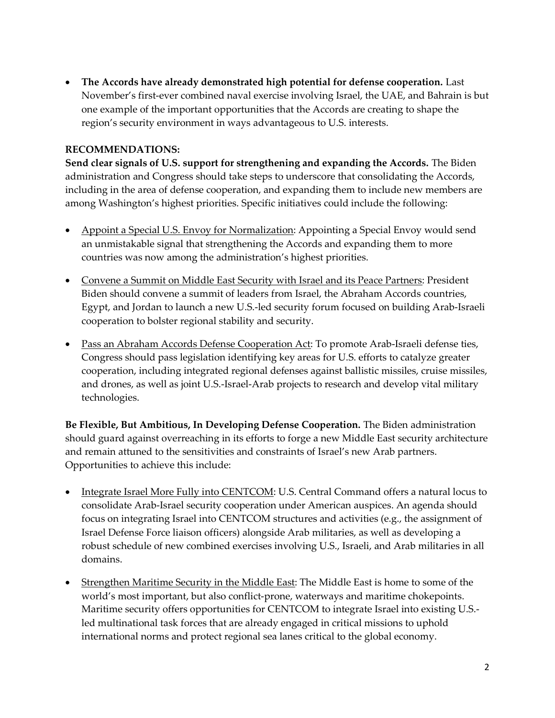The Accords have already demonstrated high potential for defense cooperation. Last November's first-ever combined naval exercise involving Israel, the UAE, and Bahrain is but one example of the important opportunities that the Accords are creating to shape the region's security environment in ways advantageous to U.S. interests.

## RECOMMENDATIONS:

Send clear signals of U.S. support for strengthening and expanding the Accords. The Biden administration and Congress should take steps to underscore that consolidating the Accords, including in the area of defense cooperation, and expanding them to include new members are among Washington's highest priorities. Specific initiatives could include the following:

- Appoint a Special U.S. Envoy for Normalization: Appointing a Special Envoy would send an unmistakable signal that strengthening the Accords and expanding them to more countries was now among the administration's highest priorities.
- Convene a Summit on Middle East Security with Israel and its Peace Partners: President Biden should convene a summit of leaders from Israel, the Abraham Accords countries, Egypt, and Jordan to launch a new U.S.-led security forum focused on building Arab-Israeli cooperation to bolster regional stability and security.
- Pass an Abraham Accords Defense Cooperation Act: To promote Arab-Israeli defense ties, Congress should pass legislation identifying key areas for U.S. efforts to catalyze greater cooperation, including integrated regional defenses against ballistic missiles, cruise missiles, and drones, as well as joint U.S.-Israel-Arab projects to research and develop vital military technologies.

Be Flexible, But Ambitious, In Developing Defense Cooperation. The Biden administration should guard against overreaching in its efforts to forge a new Middle East security architecture and remain attuned to the sensitivities and constraints of Israel's new Arab partners. Opportunities to achieve this include:

- Integrate Israel More Fully into CENTCOM: U.S. Central Command offers a natural locus to consolidate Arab-Israel security cooperation under American auspices. An agenda should focus on integrating Israel into CENTCOM structures and activities (e.g., the assignment of Israel Defense Force liaison officers) alongside Arab militaries, as well as developing a robust schedule of new combined exercises involving U.S., Israeli, and Arab militaries in all domains.
- Strengthen Maritime Security in the Middle East: The Middle East is home to some of the world's most important, but also conflict-prone, waterways and maritime chokepoints. Maritime security offers opportunities for CENTCOM to integrate Israel into existing U.S. led multinational task forces that are already engaged in critical missions to uphold international norms and protect regional sea lanes critical to the global economy.